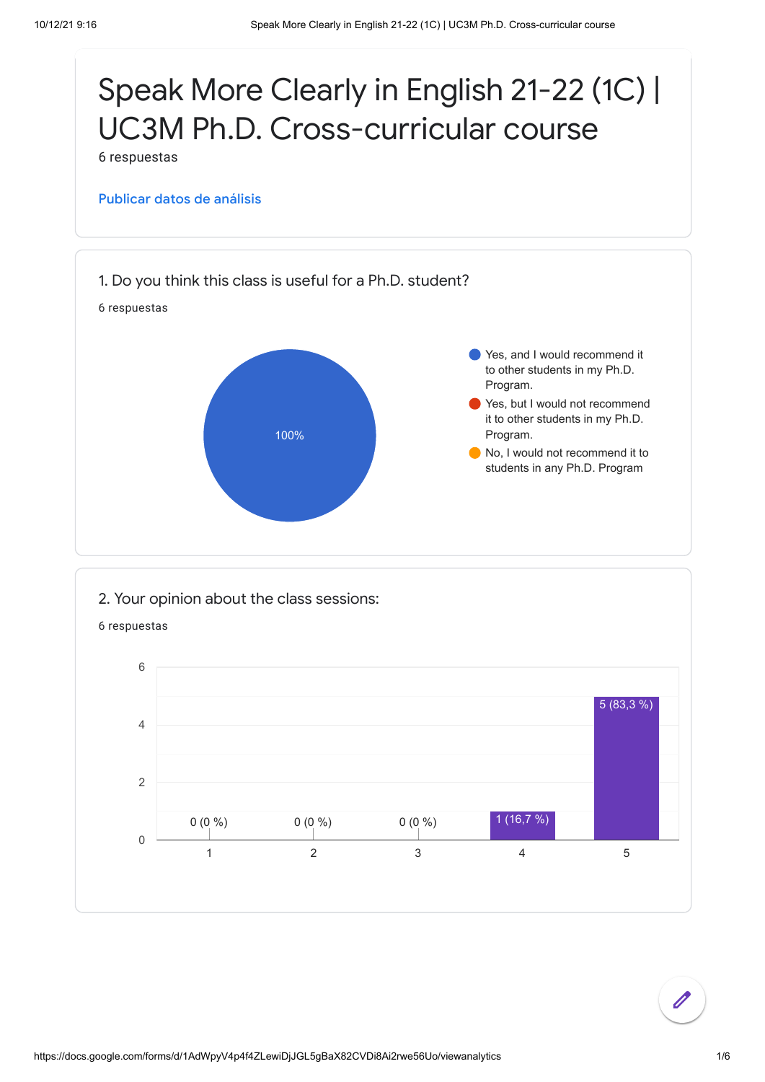

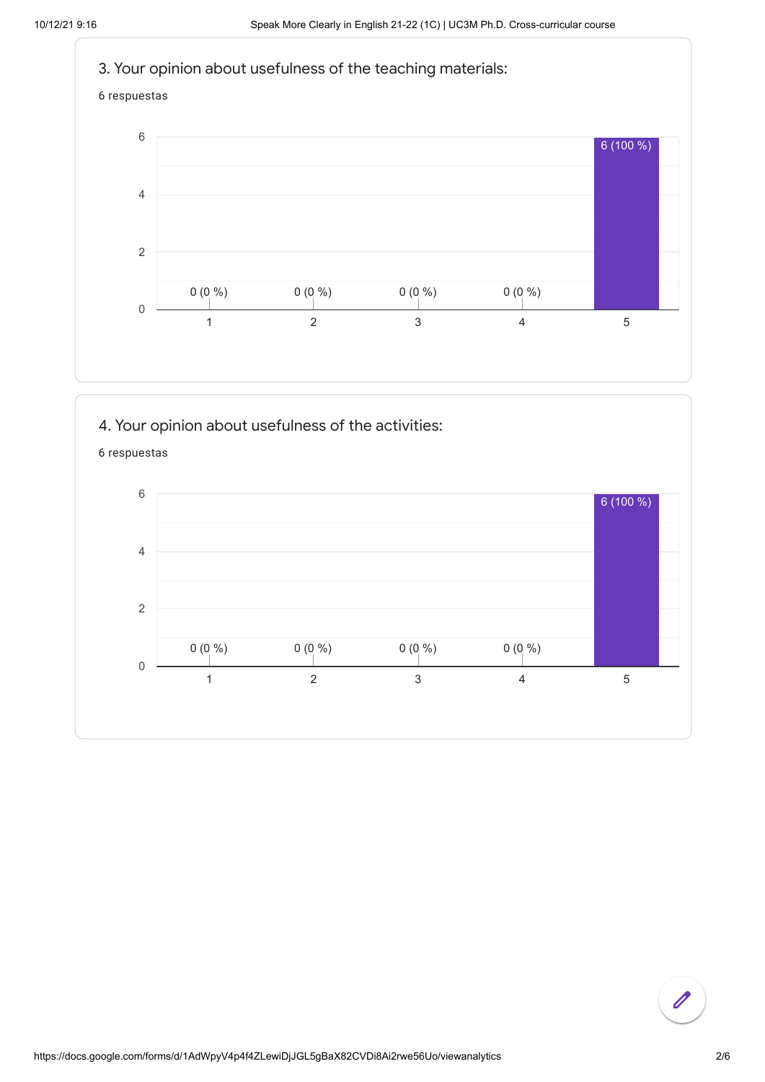







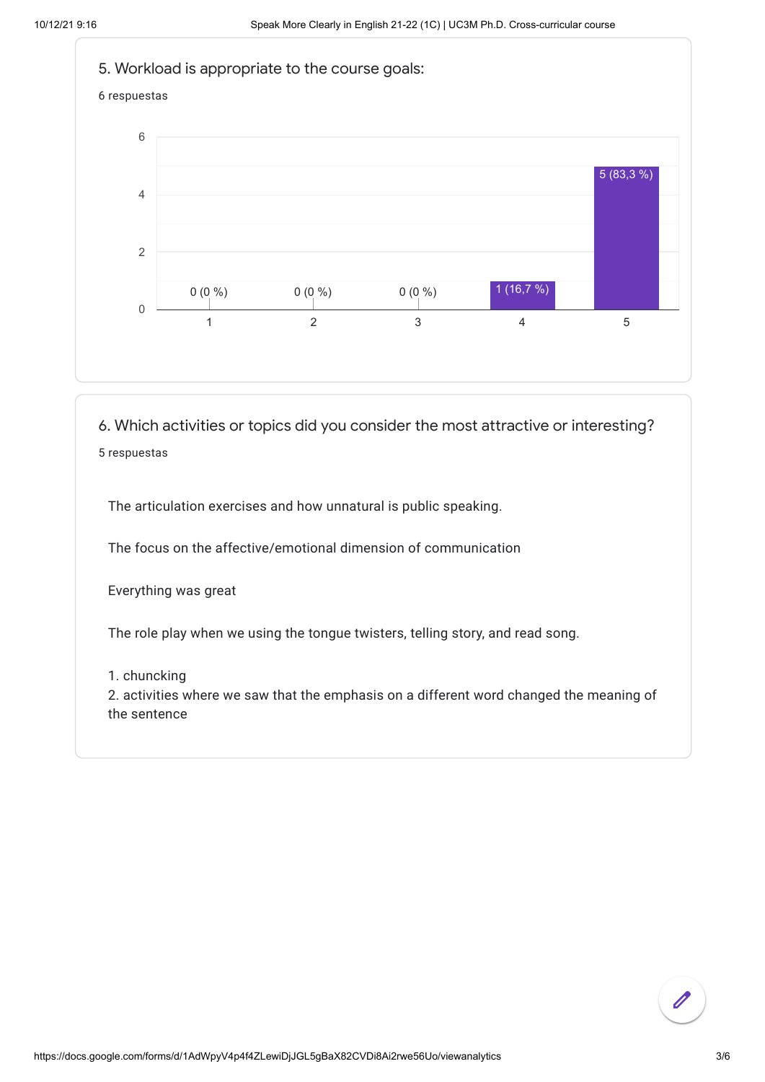

6. Which activities or topics did you consider the most attractive or interesting? 5 respuestas

The articulation exercises and how unnatural is public speaking.

The focus on the affective/emotional dimension of communication

Everything was great

The role play when we using the tongue twisters, telling story, and read song.

## 1. chuncking

2. activities where we saw that the emphasis on a different word changed the meaning of the sentence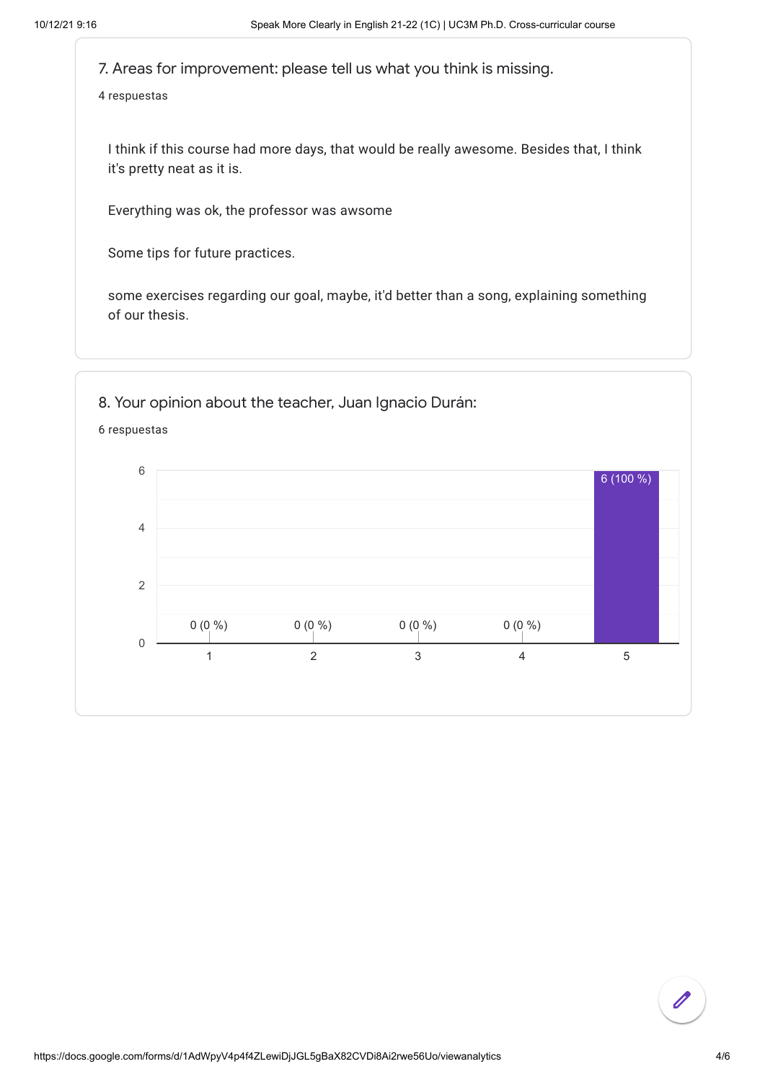7. Areas for improvement: please tell us what you think is missing.

4 respuestas

I think if this course had more days, that would be really awesome. Besides that, I think it's pretty neat as it is.

Everything was ok, the professor was awsome

Some tips for future practices.

some exercises regarding our goal, maybe, it'd better than a song, explaining something of our thesis.

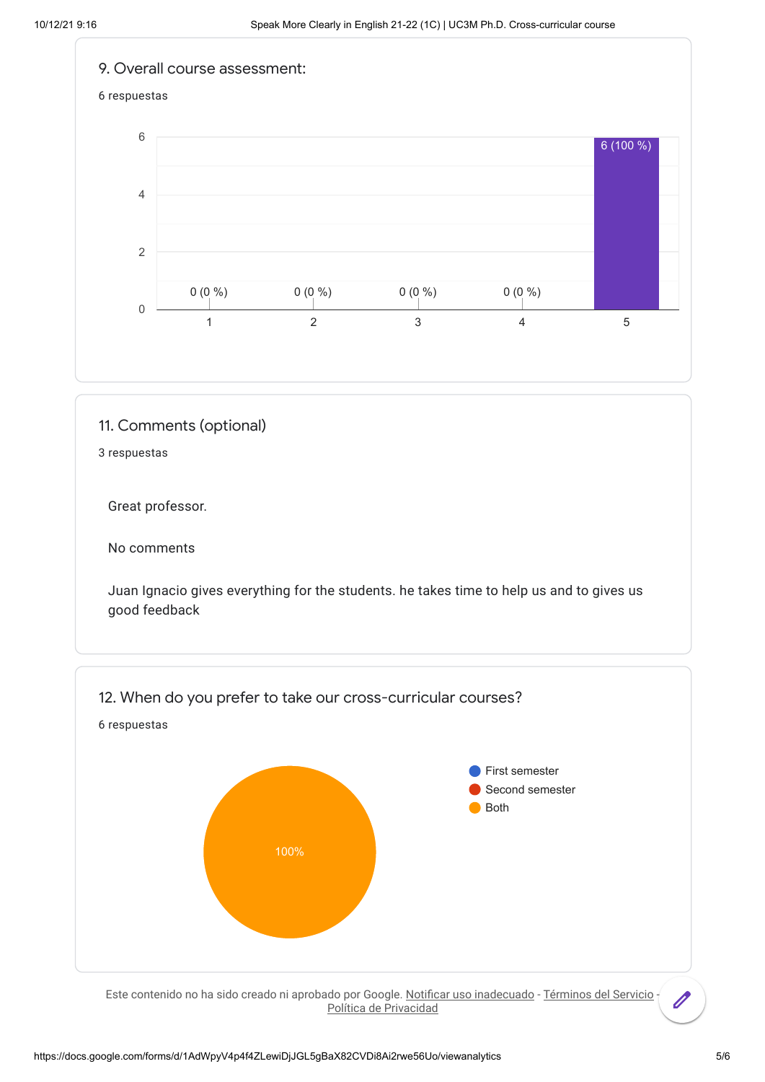

## 11. Comments (optional)

3 respuestas

Great professor.

No comments

Juan Ignacio gives everything for the students. he takes time to help us and to gives us good feedback